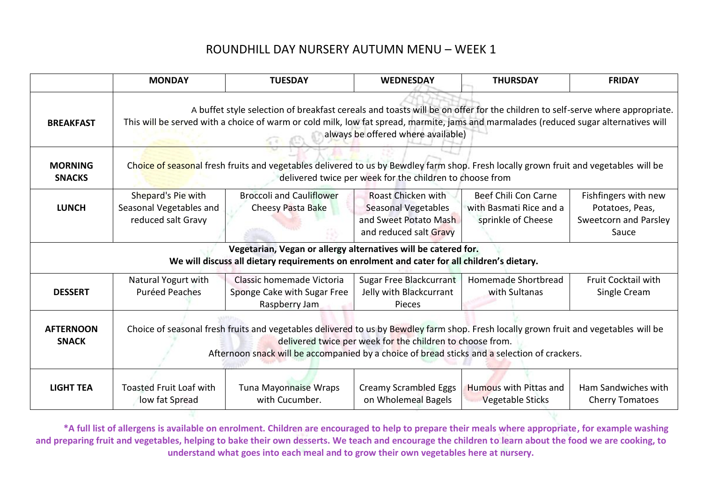|                                  | <b>MONDAY</b>                                                                                                                                                                                                                                                                                              | <b>TUESDAY</b>                                                                                                                                                | <b>WEDNESDAY</b>                                                                             | <b>THURSDAY</b>                                                       | <b>FRIDAY</b>                                                             |  |
|----------------------------------|------------------------------------------------------------------------------------------------------------------------------------------------------------------------------------------------------------------------------------------------------------------------------------------------------------|---------------------------------------------------------------------------------------------------------------------------------------------------------------|----------------------------------------------------------------------------------------------|-----------------------------------------------------------------------|---------------------------------------------------------------------------|--|
| <b>BREAKFAST</b>                 | A buffet style selection of breakfast cereals and toasts will be on offer for the children to self-serve where appropriate.<br>This will be served with a choice of warm or cold milk, low fat spread, marmite, jams and marmalades (reduced sugar alternatives will<br>always be offered where available) |                                                                                                                                                               |                                                                                              |                                                                       |                                                                           |  |
| <b>MORNING</b><br><b>SNACKS</b>  | Choice of seasonal fresh fruits and vegetables delivered to us by Bewdley farm shop. Fresh locally grown fruit and vegetables will be<br>delivered twice per week for the children to choose from                                                                                                          |                                                                                                                                                               |                                                                                              |                                                                       |                                                                           |  |
| <b>LUNCH</b>                     | Shepard's Pie with<br>Seasonal Vegetables and<br>reduced salt Gravy                                                                                                                                                                                                                                        | <b>Broccoli and Cauliflower</b><br>Cheesy Pasta Bake                                                                                                          | Roast Chicken with<br>Seasonal Vegetables<br>and Sweet Potato Mash<br>and reduced salt Gravy | Beef Chili Con Carne<br>with Basmati Rice and a<br>sprinkle of Cheese | Fishfingers with new<br>Potatoes, Peas,<br>Sweetcorn and Parsley<br>Sauce |  |
|                                  |                                                                                                                                                                                                                                                                                                            | Vegetarian, Vegan or allergy alternatives will be catered for.<br>We will discuss all dietary requirements on enrolment and cater for all children's dietary. |                                                                                              |                                                                       |                                                                           |  |
| <b>DESSERT</b>                   | Natural Yogurt with<br><b>Puréed Peaches</b>                                                                                                                                                                                                                                                               | Classic homemade Victoria<br>Sponge Cake with Sugar Free<br>Raspberry Jam                                                                                     | Sugar Free Blackcurrant<br>Jelly with Blackcurrant<br>Pieces                                 | Homemade Shortbread<br>with Sultanas                                  | <b>Fruit Cocktail with</b><br>Single Cream                                |  |
| <b>AFTERNOON</b><br><b>SNACK</b> | Choice of seasonal fresh fruits and vegetables delivered to us by Bewdley farm shop. Fresh locally grown fruit and vegetables will be<br>delivered twice per week for the children to choose from.<br>Afternoon snack will be accompanied by a choice of bread sticks and a selection of crackers.         |                                                                                                                                                               |                                                                                              |                                                                       |                                                                           |  |
| <b>LIGHT TEA</b>                 | <b>Toasted Fruit Loaf with</b><br>low fat Spread                                                                                                                                                                                                                                                           | <b>Tuna Mayonnaise Wraps</b><br>with Cucumber.                                                                                                                | Creamy Scrambled Eggs<br>on Wholemeal Bagels                                                 | <b>Humous with Pittas and</b><br><b>Vegetable Sticks</b>              | Ham Sandwiches with<br><b>Cherry Tomatoes</b>                             |  |

**\*A full list of allergens is available on enrolment. Children are encouraged to help to prepare their meals where appropriate, for example washing and preparing fruit and vegetables, helping to bake their own desserts. We teach and encourage the children to learn about the food we are cooking, to understand what goes into each meal and to grow their own vegetables here at nursery.**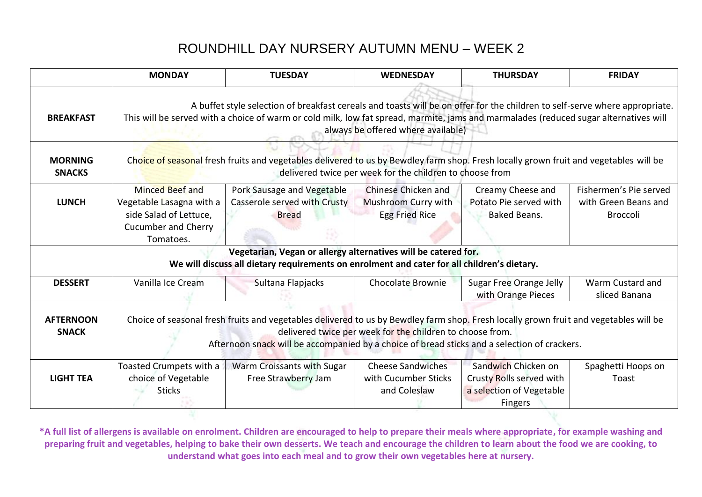|                                  | <b>MONDAY</b>                                                                                                                                                                                                                                                                                              | <b>TUESDAY</b>                                                                                                                                                | <b>WEDNESDAY</b>                                                    | <b>THURSDAY</b>                                                                               | <b>FRIDAY</b>                                                     |  |
|----------------------------------|------------------------------------------------------------------------------------------------------------------------------------------------------------------------------------------------------------------------------------------------------------------------------------------------------------|---------------------------------------------------------------------------------------------------------------------------------------------------------------|---------------------------------------------------------------------|-----------------------------------------------------------------------------------------------|-------------------------------------------------------------------|--|
| <b>BREAKFAST</b>                 | A buffet style selection of breakfast cereals and toasts will be on offer for the children to self-serve where appropriate.<br>This will be served with a choice of warm or cold milk, low fat spread, marmite, jams and marmalades (reduced sugar alternatives will<br>always be offered where available) |                                                                                                                                                               |                                                                     |                                                                                               |                                                                   |  |
| <b>MORNING</b><br><b>SNACKS</b>  | Choice of seasonal fresh fruits and vegetables delivered to us by Bewdley farm shop. Fresh locally grown fruit and vegetables will be<br>delivered twice per week for the children to choose from                                                                                                          |                                                                                                                                                               |                                                                     |                                                                                               |                                                                   |  |
| <b>LUNCH</b>                     | <b>Minced Beef and</b><br>Vegetable Lasagna with a<br>side Salad of Lettuce,<br><b>Cucumber and Cherry</b><br>Tomatoes.                                                                                                                                                                                    | Pork Sausage and Vegetable<br>Casserole served with Crusty<br><b>Bread</b>                                                                                    | Chinese Chicken and<br>Mushroom Curry with<br><b>Egg Fried Rice</b> | Creamy Cheese and<br>Potato Pie served with<br><b>Baked Beans.</b>                            | Fishermen's Pie served<br>with Green Beans and<br><b>Broccoli</b> |  |
|                                  |                                                                                                                                                                                                                                                                                                            | Vegetarian, Vegan or allergy alternatives will be catered for.<br>We will discuss all dietary requirements on enrolment and cater for all children's dietary. |                                                                     |                                                                                               |                                                                   |  |
| <b>DESSERT</b>                   | Vanilla Ice Cream                                                                                                                                                                                                                                                                                          | Sultana Flapjacks                                                                                                                                             | Chocolate Brownie                                                   | Sugar Free Orange Jelly<br>with Orange Pieces                                                 | Warm Custard and<br>sliced Banana                                 |  |
| <b>AFTERNOON</b><br><b>SNACK</b> | Choice of seasonal fresh fruits and vegetables delivered to us by Bewdley farm shop. Fresh locally grown fruit and vegetables will be<br>delivered twice per week for the children to choose from.<br>Afternoon snack will be accompanied by a choice of bread sticks and a selection of crackers.         |                                                                                                                                                               |                                                                     |                                                                                               |                                                                   |  |
| <b>LIGHT TEA</b>                 | Toasted Crumpets with a<br>choice of Vegetable<br><b>Sticks</b>                                                                                                                                                                                                                                            | Warm Croissants with Sugar<br>Free Strawberry Jam                                                                                                             | <b>Cheese Sandwiches</b><br>with Cucumber Sticks<br>and Coleslaw    | Sandwich Chicken on<br>Crusty Rolls served with<br>a selection of Vegetable<br><b>Fingers</b> | Spaghetti Hoops on<br>Toast                                       |  |

**\*A full list of allergens is available on enrolment. Children are encouraged to help to prepare their meals where appropriate, for example washing and preparing fruit and vegetables, helping to bake their own desserts. We teach and encourage the children to learn about the food we are cooking, to understand what goes into each meal and to grow their own vegetables here at nursery.**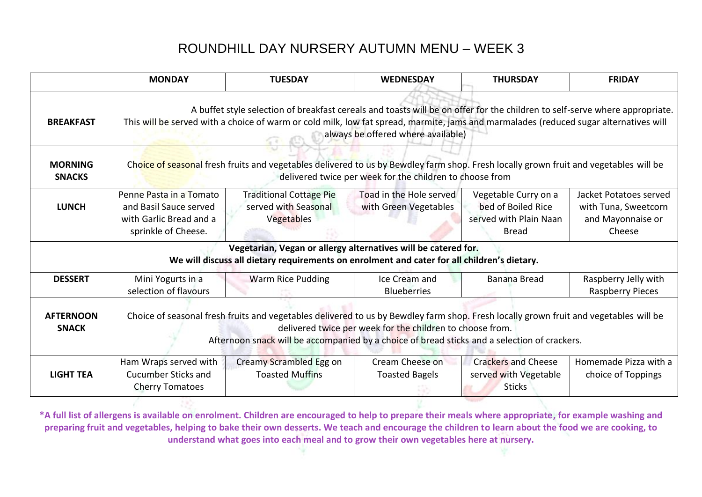|                                  | <b>MONDAY</b>                                                                                                                                                                                                                                                                                              | <b>TUESDAY</b>                                                                                                                                                | <b>WEDNESDAY</b>                                 | <b>THURSDAY</b>                                                                      | <b>FRIDAY</b>                                                                 |  |
|----------------------------------|------------------------------------------------------------------------------------------------------------------------------------------------------------------------------------------------------------------------------------------------------------------------------------------------------------|---------------------------------------------------------------------------------------------------------------------------------------------------------------|--------------------------------------------------|--------------------------------------------------------------------------------------|-------------------------------------------------------------------------------|--|
| <b>BREAKFAST</b>                 | A buffet style selection of breakfast cereals and toasts will be on offer for the children to self-serve where appropriate.<br>This will be served with a choice of warm or cold milk, low fat spread, marmite, jams and marmalades (reduced sugar alternatives will<br>always be offered where available) |                                                                                                                                                               |                                                  |                                                                                      |                                                                               |  |
| <b>MORNING</b><br><b>SNACKS</b>  | Choice of seasonal fresh fruits and vegetables delivered to us by Bewdley farm shop. Fresh locally grown fruit and vegetables will be<br>delivered twice per week for the children to choose from                                                                                                          |                                                                                                                                                               |                                                  |                                                                                      |                                                                               |  |
| <b>LUNCH</b>                     | Penne Pasta in a Tomato<br>and Basil Sauce served<br>with Garlic Bread and a<br>sprinkle of Cheese.                                                                                                                                                                                                        | <b>Traditional Cottage Pie</b><br>served with Seasonal<br>Vegetables                                                                                          | Toad in the Hole served<br>with Green Vegetables | Vegetable Curry on a<br>bed of Boiled Rice<br>served with Plain Naan<br><b>Bread</b> | Jacket Potatoes served<br>with Tuna, Sweetcorn<br>and Mayonnaise or<br>Cheese |  |
|                                  |                                                                                                                                                                                                                                                                                                            | Vegetarian, Vegan or allergy alternatives will be catered for.<br>We will discuss all dietary requirements on enrolment and cater for all children's dietary. |                                                  |                                                                                      |                                                                               |  |
| <b>DESSERT</b>                   | Mini Yogurts in a<br>selection of flavours                                                                                                                                                                                                                                                                 | Warm Rice Pudding                                                                                                                                             | Ice Cream and<br><b>Blueberries</b>              | Banana Bread                                                                         | Raspberry Jelly with<br><b>Raspberry Pieces</b>                               |  |
| <b>AFTERNOON</b><br><b>SNACK</b> | Choice of seasonal fresh fruits and vegetables delivered to us by Bewdley farm shop. Fresh locally grown fruit and vegetables will be<br>delivered twice per week for the children to choose from.<br>Afternoon snack will be accompanied by a choice of bread sticks and a selection of crackers.         |                                                                                                                                                               |                                                  |                                                                                      |                                                                               |  |
| <b>LIGHT TEA</b>                 | Ham Wraps served with<br><b>Cucumber Sticks and</b><br><b>Cherry Tomatoes</b>                                                                                                                                                                                                                              | Creamy Scrambled Egg on<br><b>Toasted Muffins</b>                                                                                                             | Cream Cheese on<br><b>Toasted Bagels</b>         | <b>Crackers and Cheese</b><br>served with Vegetable<br><b>Sticks</b>                 | Homemade Pizza with a<br>choice of Toppings                                   |  |

**\*A full list of allergens is available on enrolment. Children are encouraged to help to prepare their meals where appropriate, for example washing and preparing fruit and vegetables, helping to bake their own desserts. We teach and encourage the children to learn about the food we are cooking, to understand what goes into each meal and to grow their own vegetables here at nursery.** 

-285